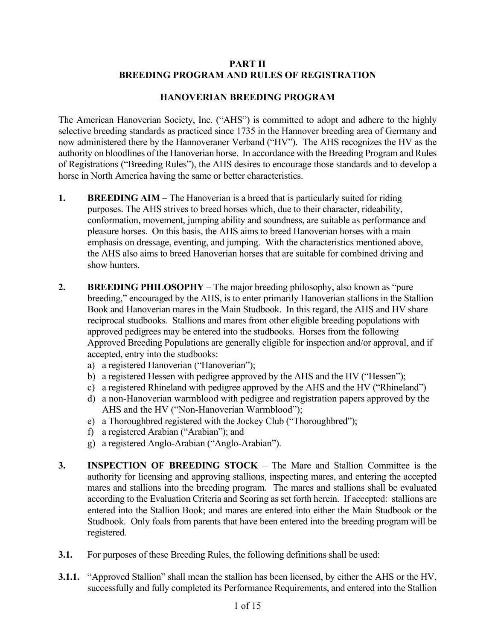#### **PART II BREEDING PROGRAM AND RULES OF REGISTRATION**

#### **HANOVERIAN BREEDING PROGRAM**

The American Hanoverian Society, Inc. ("AHS") is committed to adopt and adhere to the highly selective breeding standards as practiced since 1735 in the Hannover breeding area of Germany and now administered there by the Hannoveraner Verband ("HV"). The AHS recognizes the HV as the authority on bloodlines of the Hanoverian horse. In accordance with the Breeding Program and Rules of Registrations ("Breeding Rules"), the AHS desires to encourage those standards and to develop a horse in North America having the same or better characteristics.

- **1. BREEDING AIM** The Hanoverian is a breed that is particularly suited for riding purposes. The AHS strives to breed horses which, due to their character, rideability, conformation, movement, jumping ability and soundness, are suitable as performance and pleasure horses. On this basis, the AHS aims to breed Hanoverian horses with a main emphasis on dressage, eventing, and jumping. With the characteristics mentioned above, the AHS also aims to breed Hanoverian horses that are suitable for combined driving and show hunters.
- **2. BREEDING PHILOSOPHY** The major breeding philosophy, also known as "pure breeding," encouraged by the AHS, is to enter primarily Hanoverian stallions in the Stallion Book and Hanoverian mares in the Main Studbook. In this regard, the AHS and HV share reciprocal studbooks. Stallions and mares from other eligible breeding populations with approved pedigrees may be entered into the studbooks. Horses from the following Approved Breeding Populations are generally eligible for inspection and/or approval, and if accepted, entry into the studbooks:
	- a) a registered Hanoverian ("Hanoverian");
	- b) a registered Hessen with pedigree approved by the AHS and the HV ("Hessen");
	- c) a registered Rhineland with pedigree approved by the AHS and the HV ("Rhineland")
	- d) a non-Hanoverian warmblood with pedigree and registration papers approved by the AHS and the HV ("Non-Hanoverian Warmblood");
	- e) a Thoroughbred registered with the Jockey Club ("Thoroughbred");
	- f) a registered Arabian ("Arabian"); and
	- g) a registered Anglo-Arabian ("Anglo-Arabian").
- **3. INSPECTION OF BREEDING STOCK** The Mare and Stallion Committee is the authority for licensing and approving stallions, inspecting mares, and entering the accepted mares and stallions into the breeding program. The mares and stallions shall be evaluated according to the Evaluation Criteria and Scoring as set forth herein. If accepted: stallions are entered into the Stallion Book; and mares are entered into either the Main Studbook or the Studbook. Only foals from parents that have been entered into the breeding program will be registered.
- **3.1.** For purposes of these Breeding Rules, the following definitions shall be used:
- **3.1.1.** "Approved Stallion" shall mean the stallion has been licensed, by either the AHS or the HV, successfully and fully completed its Performance Requirements, and entered into the Stallion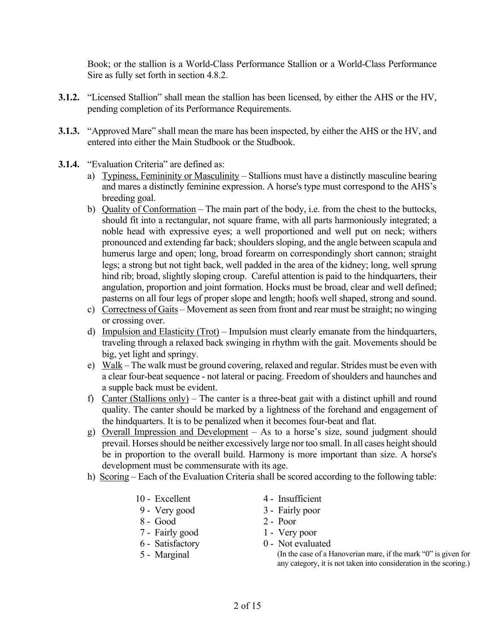Book; or the stallion is a World-Class Performance Stallion or a World-Class Performance Sire as fully set forth in section 4.8.2.

- **3.1.2.** "Licensed Stallion" shall mean the stallion has been licensed, by either the AHS or the HV, pending completion of its Performance Requirements.
- **3.1.3.** "Approved Mare" shall mean the mare has been inspected, by either the AHS or the HV, and entered into either the Main Studbook or the Studbook.
- **3.1.4.** "Evaluation Criteria" are defined as:
	- a) Typiness, Femininity or Masculinity Stallions must have a distinctly masculine bearing and mares a distinctly feminine expression. A horse's type must correspond to the AHS's breeding goal.
	- b) Quality of Conformation The main part of the body, i.e. from the chest to the buttocks, should fit into a rectangular, not square frame, with all parts harmoniously integrated; a noble head with expressive eyes; a well proportioned and well put on neck; withers pronounced and extending far back; shoulders sloping, and the angle between scapula and humerus large and open; long, broad forearm on correspondingly short cannon; straight legs; a strong but not tight back, well padded in the area of the kidney; long, well sprung hind rib; broad, slightly sloping croup. Careful attention is paid to the hindquarters, their angulation, proportion and joint formation. Hocks must be broad, clear and well defined; pasterns on all four legs of proper slope and length; hoofs well shaped, strong and sound.
	- c) Correctness of Gaits Movement as seen from front and rear must be straight; no winging or crossing over.
	- d) Impulsion and Elasticity (Trot) Impulsion must clearly emanate from the hindquarters, traveling through a relaxed back swinging in rhythm with the gait. Movements should be big, yet light and springy.
	- e) Walk The walk must be ground covering, relaxed and regular. Strides must be even with a clear four-beat sequence - not lateral or pacing. Freedom of shoulders and haunches and a supple back must be evident.
	- f) Canter (Stallions only) The canter is a three-beat gait with a distinct uphill and round quality. The canter should be marked by a lightness of the forehand and engagement of the hindquarters. It is to be penalized when it becomes four-beat and flat.
	- g) Overall Impression and Development As to a horse's size, sound judgment should prevail. Horses should be neither excessively large nor too small. In all cases height should be in proportion to the overall build. Harmony is more important than size. A horse's development must be commensurate with its age.
	- h) Scoring Each of the Evaluation Criteria shall be scored according to the following table:
		-
		-
		- 8 Good 2 Poor
		- 7 Fairly good 1 Very poor
		-
		-
		- 10 Excellent 4 Insufficient
		- 9 Very good 3 Fairly poor
			-
			-
		- 6 Satisfactory 0 Not evaluated

 5 - Marginal (In the case of a Hanoverian mare, if the mark "0" is given for any category, it is not taken into consideration in the scoring.)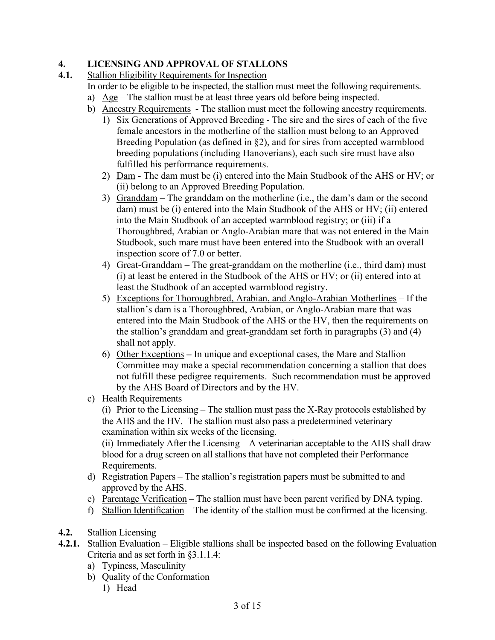# **4. LICENSING AND APPROVAL OF STALLONS**

**4.1.** Stallion Eligibility Requirements for Inspection

- In order to be eligible to be inspected, the stallion must meet the following requirements.
- a)  $Age$  The stallion must be at least three years old before being inspected.
- b) Ancestry Requirements The stallion must meet the following ancestry requirements.
	- 1) Six Generations of Approved Breeding The sire and the sires of each of the five female ancestors in the motherline of the stallion must belong to an Approved Breeding Population (as defined in §2), and for sires from accepted warmblood breeding populations (including Hanoverians), each such sire must have also fulfilled his performance requirements.
	- 2) Dam The dam must be (i) entered into the Main Studbook of the AHS or HV; or (ii) belong to an Approved Breeding Population.
	- 3) Granddam The granddam on the motherline (i.e., the dam's dam or the second dam) must be (i) entered into the Main Studbook of the AHS or HV; (ii) entered into the Main Studbook of an accepted warmblood registry; or (iii) if a Thoroughbred, Arabian or Anglo-Arabian mare that was not entered in the Main Studbook, such mare must have been entered into the Studbook with an overall inspection score of 7.0 or better.
	- 4) Great-Granddam The great-granddam on the motherline (i.e., third dam) must (i) at least be entered in the Studbook of the AHS or HV; or (ii) entered into at least the Studbook of an accepted warmblood registry.
	- 5) Exceptions for Thoroughbred, Arabian, and Anglo-Arabian Motherlines If the stallion's dam is a Thoroughbred, Arabian, or Anglo-Arabian mare that was entered into the Main Studbook of the AHS or the HV, then the requirements on the stallion's granddam and great-granddam set forth in paragraphs (3) and (4) shall not apply.
	- 6) Other Exceptions **–** In unique and exceptional cases, the Mare and Stallion Committee may make a special recommendation concerning a stallion that does not fulfill these pedigree requirements. Such recommendation must be approved by the AHS Board of Directors and by the HV.
- c) Health Requirements

(i) Prior to the Licensing – The stallion must pass the X-Ray protocols established by the AHS and the HV. The stallion must also pass a predetermined veterinary examination within six weeks of the licensing.

(ii) Immediately After the Licensing – A veterinarian acceptable to the AHS shall draw blood for a drug screen on all stallions that have not completed their Performance Requirements.

- d) Registration Papers The stallion's registration papers must be submitted to and approved by the AHS.
- e) Parentage Verification The stallion must have been parent verified by DNA typing.
- f) Stallion Identification The identity of the stallion must be confirmed at the licensing.
- **4.2.** Stallion Licensing
- **4.2.1.** Stallion Evaluation Eligible stallions shall be inspected based on the following Evaluation Criteria and as set forth in §3.1.1.4:
	- a) Typiness, Masculinity
	- b) Quality of the Conformation
		- 1) Head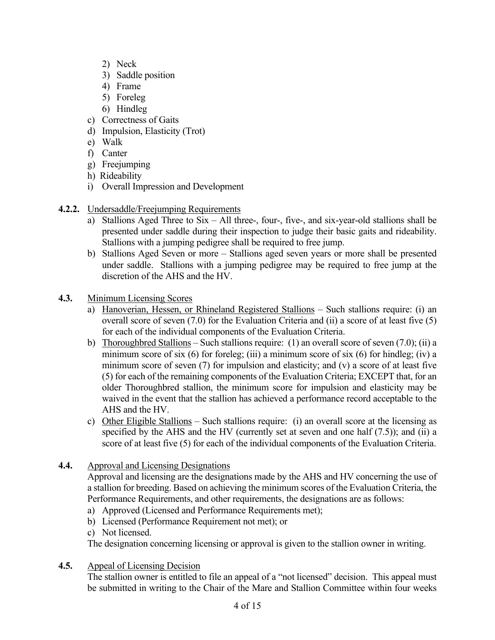- 2) Neck
- 3) Saddle position
- 4) Frame
- 5) Foreleg
- 6) Hindleg
- c) Correctness of Gaits
- d) Impulsion, Elasticity (Trot)
- e) Walk
- f) Canter
- g) Freejumping
- h) Rideability
- i) Overall Impression and Development
- **4.2.2.** Undersaddle/Freejumping Requirements
	- a) Stallions Aged Three to Six All three-, four-, five-, and six-year-old stallions shall be presented under saddle during their inspection to judge their basic gaits and rideability. Stallions with a jumping pedigree shall be required to free jump.
	- b) Stallions Aged Seven or more Stallions aged seven years or more shall be presented under saddle. Stallions with a jumping pedigree may be required to free jump at the discretion of the AHS and the HV.
- **4.3.** Minimum Licensing Scores
	- a) Hanoverian, Hessen, or Rhineland Registered Stallions Such stallions require: (i) an overall score of seven (7.0) for the Evaluation Criteria and (ii) a score of at least five (5) for each of the individual components of the Evaluation Criteria.
	- b) Thoroughbred Stallions Such stallions require: (1) an overall score of seven (7.0); (ii) a minimum score of six  $(6)$  for foreleg; (iii) a minimum score of six  $(6)$  for hindleg; (iv) a minimum score of seven (7) for impulsion and elasticity; and (v) a score of at least five (5) for each of the remaining components of the Evaluation Criteria; EXCEPT that, for an older Thoroughbred stallion, the minimum score for impulsion and elasticity may be waived in the event that the stallion has achieved a performance record acceptable to the AHS and the HV.
	- c) Other Eligible Stallions Such stallions require: (i) an overall score at the licensing as specified by the AHS and the HV (currently set at seven and one half  $(7.5)$ ); and (ii) a score of at least five (5) for each of the individual components of the Evaluation Criteria.
- **4.4.** Approval and Licensing Designations

Approval and licensing are the designations made by the AHS and HV concerning the use of a stallion for breeding. Based on achieving the minimum scores of the Evaluation Criteria, the Performance Requirements, and other requirements, the designations are as follows:

- a) Approved (Licensed and Performance Requirements met);
- b) Licensed (Performance Requirement not met); or
- c) Not licensed.

The designation concerning licensing or approval is given to the stallion owner in writing.

**4.5.** Appeal of Licensing Decision

The stallion owner is entitled to file an appeal of a "not licensed" decision. This appeal must be submitted in writing to the Chair of the Mare and Stallion Committee within four weeks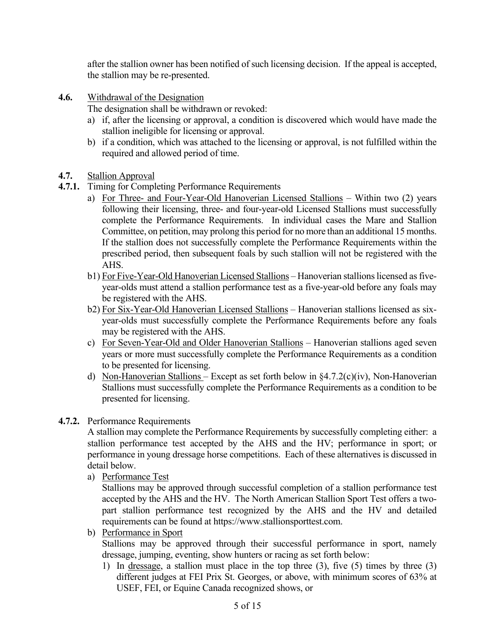after the stallion owner has been notified of such licensing decision. If the appeal is accepted, the stallion may be re-presented.

**4.6.** Withdrawal of the Designation

The designation shall be withdrawn or revoked:

- a) if, after the licensing or approval, a condition is discovered which would have made the stallion ineligible for licensing or approval.
- b) if a condition, which was attached to the licensing or approval, is not fulfilled within the required and allowed period of time.
- **4.7.** Stallion Approval
- **4.7.1.** Timing for Completing Performance Requirements
	- a) For Three- and Four-Year-Old Hanoverian Licensed Stallions Within two (2) years following their licensing, three- and four-year-old Licensed Stallions must successfully complete the Performance Requirements. In individual cases the Mare and Stallion Committee, on petition, may prolong this period for no more than an additional 15 months. If the stallion does not successfully complete the Performance Requirements within the prescribed period, then subsequent foals by such stallion will not be registered with the AHS.
	- b1) For Five-Year-Old Hanoverian Licensed Stallions Hanoverian stallions licensed as fiveyear-olds must attend a stallion performance test as a five-year-old before any foals may be registered with the AHS.
	- b2) For Six-Year-Old Hanoverian Licensed Stallions Hanoverian stallions licensed as sixyear-olds must successfully complete the Performance Requirements before any foals may be registered with the AHS.
	- c) For Seven-Year-Old and Older Hanoverian Stallions Hanoverian stallions aged seven years or more must successfully complete the Performance Requirements as a condition to be presented for licensing.
	- d) Non-Hanoverian Stallions Except as set forth below in  $(4.7.2(c)(iv))$ , Non-Hanoverian Stallions must successfully complete the Performance Requirements as a condition to be presented for licensing.

#### **4.7.2.** Performance Requirements

A stallion may complete the Performance Requirements by successfully completing either: a stallion performance test accepted by the AHS and the HV; performance in sport; or performance in young dressage horse competitions. Each of these alternatives is discussed in detail below.

a) Performance Test

Stallions may be approved through successful completion of a stallion performance test accepted by the AHS and the HV. The North American Stallion Sport Test offers a twopart stallion performance test recognized by the AHS and the HV and detailed requirements can be found at https://www.stallionsporttest.com.

b) Performance in Sport

Stallions may be approved through their successful performance in sport, namely dressage, jumping, eventing, show hunters or racing as set forth below:

1) In dressage, a stallion must place in the top three (3), five (5) times by three (3) different judges at FEI Prix St. Georges, or above, with minimum scores of 63% at USEF, FEI, or Equine Canada recognized shows, or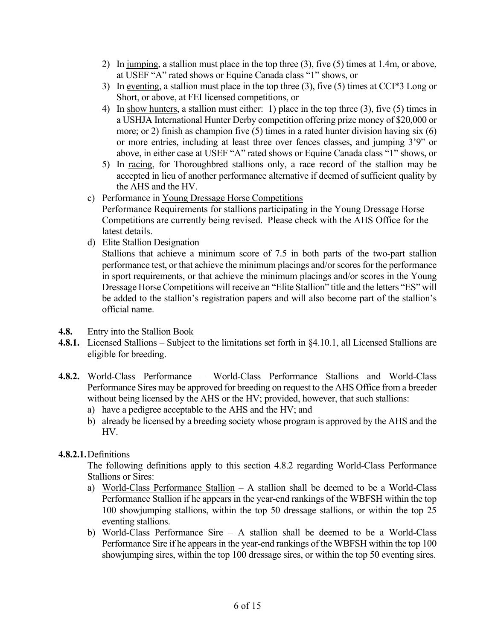- 2) In jumping, a stallion must place in the top three (3), five (5) times at 1.4m, or above, at USEF "A" rated shows or Equine Canada class "1" shows, or
- 3) In eventing, a stallion must place in the top three (3), five (5) times at CCI\*3 Long or Short, or above, at FEI licensed competitions, or
- 4) In show hunters, a stallion must either: 1) place in the top three (3), five (5) times in a USHJA International Hunter Derby competition offering prize money of \$20,000 or more; or 2) finish as champion five (5) times in a rated hunter division having six (6) or more entries, including at least three over fences classes, and jumping 3'9" or above, in either case at USEF "A" rated shows or Equine Canada class "1" shows, or
- 5) In racing, for Thoroughbred stallions only, a race record of the stallion may be accepted in lieu of another performance alternative if deemed of sufficient quality by the AHS and the HV.
- c) Performance in Young Dressage Horse Competitions Performance Requirements for stallions participating in the Young Dressage Horse Competitions are currently being revised. Please check with the AHS Office for the latest details.
- d) Elite Stallion Designation

Stallions that achieve a minimum score of 7.5 in both parts of the two-part stallion performance test, or that achieve the minimum placings and/or scores for the performance in sport requirements, or that achieve the minimum placings and/or scores in the Young Dressage Horse Competitions will receive an "Elite Stallion" title and the letters "ES" will be added to the stallion's registration papers and will also become part of the stallion's official name.

- **4.8.** Entry into the Stallion Book
- **4.8.1.** Licensed Stallions Subject to the limitations set forth in §4.10.1, all Licensed Stallions are eligible for breeding.
- **4.8.2.** World-Class Performance World-Class Performance Stallions and World-Class Performance Sires may be approved for breeding on request to the AHS Office from a breeder without being licensed by the AHS or the HV; provided, however, that such stallions:
	- a) have a pedigree acceptable to the AHS and the HV; and
	- b) already be licensed by a breeding society whose program is approved by the AHS and the HV.

#### **4.8.2.1.**Definitions

The following definitions apply to this section 4.8.2 regarding World-Class Performance Stallions or Sires:

- a) World-Class Performance Stallion A stallion shall be deemed to be a World-Class Performance Stallion if he appears in the year-end rankings of the WBFSH within the top 100 showjumping stallions, within the top 50 dressage stallions, or within the top 25 eventing stallions.
- b) World-Class Performance Sire  $-$  A stallion shall be deemed to be a World-Class Performance Sire if he appears in the year-end rankings of the WBFSH within the top 100 showjumping sires, within the top 100 dressage sires, or within the top 50 eventing sires.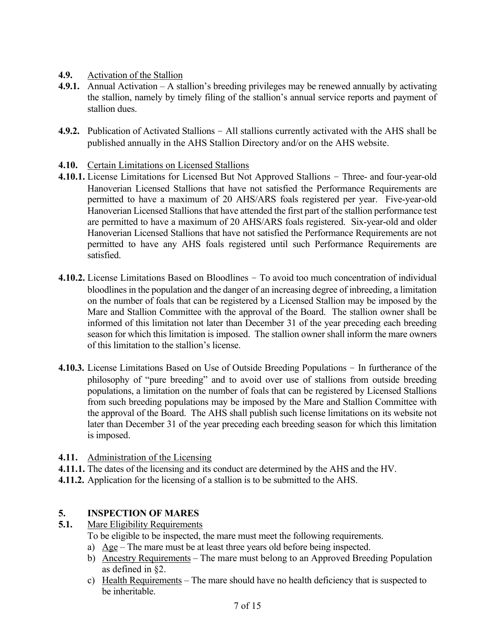# **4.9.** Activation of the Stallion

- **4.9.1.** Annual Activation A stallion's breeding privileges may be renewed annually by activating the stallion, namely by timely filing of the stallion's annual service reports and payment of stallion dues.
- **4.9.2.** Publication of Activated Stallions All stallions currently activated with the AHS shall be published annually in the AHS Stallion Directory and/or on the AHS website.
- **4.10.** Certain Limitations on Licensed Stallions
- **4.10.1.** License Limitations for Licensed But Not Approved Stallions Three- and four-year-old Hanoverian Licensed Stallions that have not satisfied the Performance Requirements are permitted to have a maximum of 20 AHS/ARS foals registered per year. Five-year-old Hanoverian Licensed Stallions that have attended the first part of the stallion performance test are permitted to have a maximum of 20 AHS/ARS foals registered. Six-year-old and older Hanoverian Licensed Stallions that have not satisfied the Performance Requirements are not permitted to have any AHS foals registered until such Performance Requirements are satisfied.
- **4.10.2.** License Limitations Based on Bloodlines To avoid too much concentration of individual bloodlines in the population and the danger of an increasing degree of inbreeding, a limitation on the number of foals that can be registered by a Licensed Stallion may be imposed by the Mare and Stallion Committee with the approval of the Board. The stallion owner shall be informed of this limitation not later than December 31 of the year preceding each breeding season for which this limitation is imposed. The stallion owner shall inform the mare owners of this limitation to the stallion's license.
- **4.10.3.** License Limitations Based on Use of Outside Breeding Populations In furtherance of the philosophy of "pure breeding" and to avoid over use of stallions from outside breeding populations, a limitation on the number of foals that can be registered by Licensed Stallions from such breeding populations may be imposed by the Mare and Stallion Committee with the approval of the Board. The AHS shall publish such license limitations on its website not later than December 31 of the year preceding each breeding season for which this limitation is imposed.
- **4.11.** Administration of the Licensing
- **4.11.1.** The dates of the licensing and its conduct are determined by the AHS and the HV.
- **4.11.2.** Application for the licensing of a stallion is to be submitted to the AHS.

# **5. INSPECTION OF MARES**

- **5.1.** Mare Eligibility Requirements
	- To be eligible to be inspected, the mare must meet the following requirements.
	- a) Age The mare must be at least three years old before being inspected.
	- b) Ancestry Requirements The mare must belong to an Approved Breeding Population as defined in §2.
	- c) Health Requirements The mare should have no health deficiency that is suspected to be inheritable.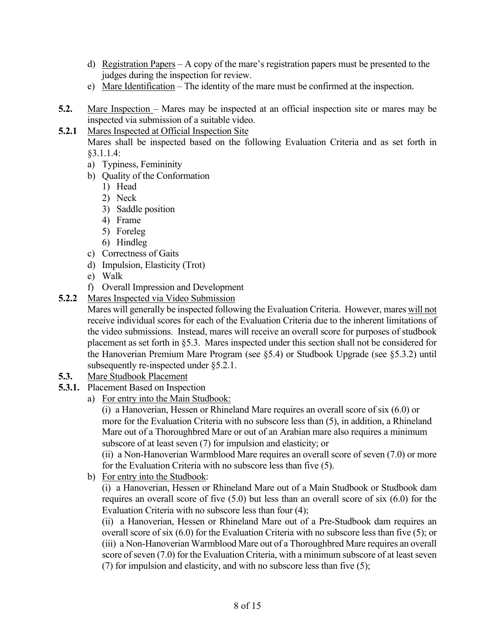- d) Registration Papers A copy of the mare's registration papers must be presented to the judges during the inspection for review.
- e) Mare Identification The identity of the mare must be confirmed at the inspection.
- **5.2.** Mare Inspection Mares may be inspected at an official inspection site or mares may be inspected via submission of a suitable video.

# **5.2.1** Mares Inspected at Official Inspection Site

Mares shall be inspected based on the following Evaluation Criteria and as set forth in §3.1.1.4:

- a) Typiness, Femininity
- b) Quality of the Conformation
	- 1) Head
	- 2) Neck
	- 3) Saddle position
	- 4) Frame
	- 5) Foreleg
	- 6) Hindleg
- c) Correctness of Gaits
- d) Impulsion, Elasticity (Trot)
- e) Walk
- f) Overall Impression and Development
- **5.2.2** Mares Inspected via Video Submission

Mares will generally be inspected following the Evaluation Criteria. However, mares will not receive individual scores for each of the Evaluation Criteria due to the inherent limitations of the video submissions. Instead, mares will receive an overall score for purposes of studbook placement as set forth in §5.3. Mares inspected under this section shall not be considered for the Hanoverian Premium Mare Program (see §5.4) or Studbook Upgrade (see §5.3.2) until subsequently re-inspected under §5.2.1.

- **5.3.** Mare Studbook Placement
- **5.3.1.** Placement Based on Inspection
	- a) For entry into the Main Studbook:

(i) a Hanoverian, Hessen or Rhineland Mare requires an overall score of six (6.0) or more for the Evaluation Criteria with no subscore less than (5), in addition, a Rhineland Mare out of a Thoroughbred Mare or out of an Arabian mare also requires a minimum subscore of at least seven (7) for impulsion and elasticity; or

(ii) a Non-Hanoverian Warmblood Mare requires an overall score of seven (7.0) or more for the Evaluation Criteria with no subscore less than five (5).

b) For entry into the Studbook:

(i) a Hanoverian, Hessen or Rhineland Mare out of a Main Studbook or Studbook dam requires an overall score of five (5.0) but less than an overall score of six (6.0) for the Evaluation Criteria with no subscore less than four (4);

(ii) a Hanoverian, Hessen or Rhineland Mare out of a Pre-Studbook dam requires an overall score of six (6.0) for the Evaluation Criteria with no subscore less than five (5); or (iii) a Non-Hanoverian Warmblood Mare out of a Thoroughbred Mare requires an overall score of seven (7.0) for the Evaluation Criteria, with a minimum subscore of at least seven (7) for impulsion and elasticity, and with no subscore less than five (5);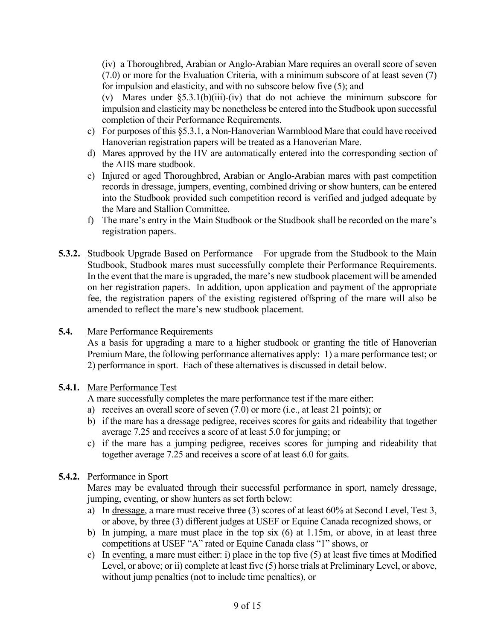(iv) a Thoroughbred, Arabian or Anglo-Arabian Mare requires an overall score of seven (7.0) or more for the Evaluation Criteria, with a minimum subscore of at least seven (7) for impulsion and elasticity, and with no subscore below five (5); and

(v) Mares under §5.3.1(b)(iii)-(iv) that do not achieve the minimum subscore for impulsion and elasticity may be nonetheless be entered into the Studbook upon successful completion of their Performance Requirements.

- c) For purposes of this §5.3.1, a Non-Hanoverian Warmblood Mare that could have received Hanoverian registration papers will be treated as a Hanoverian Mare.
- d) Mares approved by the HV are automatically entered into the corresponding section of the AHS mare studbook.
- e) Injured or aged Thoroughbred, Arabian or Anglo-Arabian mares with past competition records in dressage, jumpers, eventing, combined driving or show hunters, can be entered into the Studbook provided such competition record is verified and judged adequate by the Mare and Stallion Committee.
- f) The mare's entry in the Main Studbook or the Studbook shall be recorded on the mare's registration papers.
- **5.3.2.** Studbook Upgrade Based on Performance For upgrade from the Studbook to the Main Studbook, Studbook mares must successfully complete their Performance Requirements. In the event that the mare is upgraded, the mare's new studbook placement will be amended on her registration papers. In addition, upon application and payment of the appropriate fee, the registration papers of the existing registered offspring of the mare will also be amended to reflect the mare's new studbook placement.
- **5.4.** Mare Performance Requirements

As a basis for upgrading a mare to a higher studbook or granting the title of Hanoverian Premium Mare, the following performance alternatives apply: 1) a mare performance test; or 2) performance in sport. Each of these alternatives is discussed in detail below.

#### **5.4.1.** Mare Performance Test

A mare successfully completes the mare performance test if the mare either:

- a) receives an overall score of seven (7.0) or more (i.e., at least 21 points); or
- b) if the mare has a dressage pedigree, receives scores for gaits and rideability that together average 7.25 and receives a score of at least 5.0 for jumping; or
- c) if the mare has a jumping pedigree, receives scores for jumping and rideability that together average 7.25 and receives a score of at least 6.0 for gaits.

#### **5.4.2.** Performance in Sport

Mares may be evaluated through their successful performance in sport, namely dressage, jumping, eventing, or show hunters as set forth below:

- a) In dressage, a mare must receive three (3) scores of at least 60% at Second Level, Test 3, or above, by three (3) different judges at USEF or Equine Canada recognized shows, or
- b) In jumping, a mare must place in the top six  $(6)$  at 1.15m, or above, in at least three competitions at USEF "A" rated or Equine Canada class "1" shows, or
- c) In eventing, a mare must either: i) place in the top five (5) at least five times at Modified Level, or above; or ii) complete at least five (5) horse trials at Preliminary Level, or above, without jump penalties (not to include time penalties), or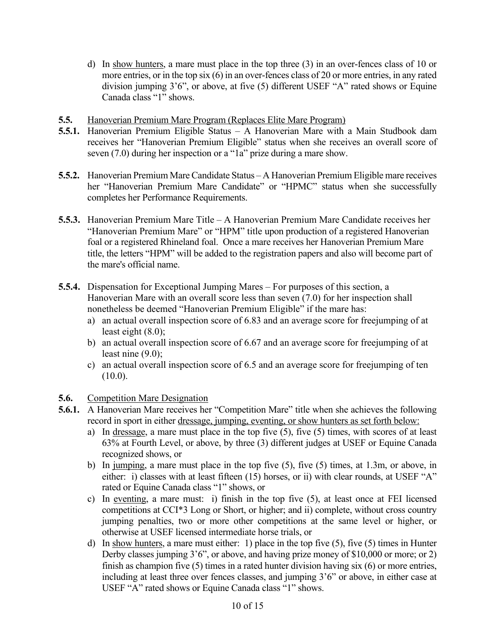- d) In show hunters, a mare must place in the top three (3) in an over-fences class of 10 or more entries, or in the top six (6) in an over-fences class of 20 or more entries, in any rated division jumping 3'6", or above, at five (5) different USEF "A" rated shows or Equine Canada class "1" shows.
- **5.5.** Hanoverian Premium Mare Program (Replaces Elite Mare Program)
- **5.5.1.** Hanoverian Premium Eligible Status A Hanoverian Mare with a Main Studbook dam receives her "Hanoverian Premium Eligible" status when she receives an overall score of seven (7.0) during her inspection or a "1a" prize during a mare show.
- **5.5.2.** Hanoverian Premium Mare Candidate Status A Hanoverian Premium Eligible mare receives her "Hanoverian Premium Mare Candidate" or "HPMC" status when she successfully completes her Performance Requirements.
- **5.5.3.** Hanoverian Premium Mare Title A Hanoverian Premium Mare Candidate receives her "Hanoverian Premium Mare" or "HPM" title upon production of a registered Hanoverian foal or a registered Rhineland foal. Once a mare receives her Hanoverian Premium Mare title, the letters "HPM" will be added to the registration papers and also will become part of the mare's official name.
- **5.5.4.** Dispensation for Exceptional Jumping Mares For purposes of this section, a Hanoverian Mare with an overall score less than seven (7.0) for her inspection shall nonetheless be deemed "Hanoverian Premium Eligible" if the mare has:
	- a) an actual overall inspection score of 6.83 and an average score for freejumping of at least eight (8.0);
	- b) an actual overall inspection score of 6.67 and an average score for freejumping of at least nine (9.0);
	- c) an actual overall inspection score of 6.5 and an average score for freejumping of ten  $(10.0).$

#### **5.6.** Competition Mare Designation

- **5.6.1.** A Hanoverian Mare receives her "Competition Mare" title when she achieves the following record in sport in either dressage, jumping, eventing, or show hunters as set forth below:
	- a) In dressage, a mare must place in the top five (5), five (5) times, with scores of at least 63% at Fourth Level, or above, by three (3) different judges at USEF or Equine Canada recognized shows, or
	- b) In jumping, a mare must place in the top five (5), five (5) times, at 1.3m, or above, in either: i) classes with at least fifteen (15) horses, or ii) with clear rounds, at USEF "A" rated or Equine Canada class "1" shows, or
	- c) In eventing, a mare must: i) finish in the top five (5), at least once at FEI licensed competitions at CCI\*3 Long or Short, or higher; and ii) complete, without cross country jumping penalties, two or more other competitions at the same level or higher, or otherwise at USEF licensed intermediate horse trials, or
	- d) In show hunters, a mare must either: 1) place in the top five (5), five (5) times in Hunter Derby classes jumping 3'6", or above, and having prize money of \$10,000 or more; or 2) finish as champion five (5) times in a rated hunter division having six (6) or more entries, including at least three over fences classes, and jumping 3'6" or above, in either case at USEF "A" rated shows or Equine Canada class "1" shows.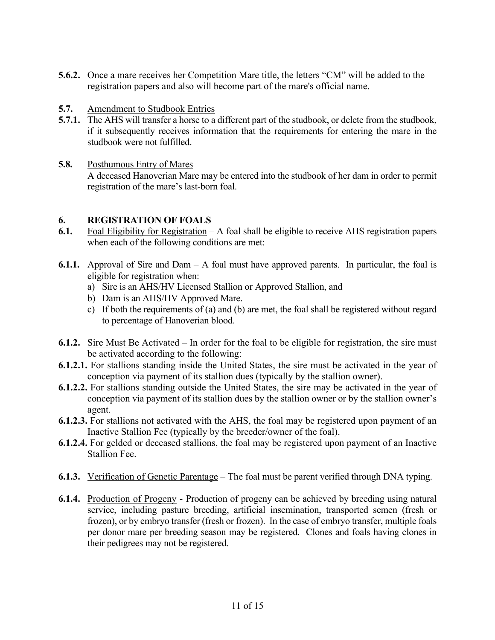- **5.6.2.** Once a mare receives her Competition Mare title, the letters "CM" will be added to the registration papers and also will become part of the mare's official name.
- **5.7.** Amendment to Studbook Entries
- **5.7.1.** The AHS will transfer a horse to a different part of the studbook, or delete from the studbook, if it subsequently receives information that the requirements for entering the mare in the studbook were not fulfilled.
- **5.8.** Posthumous Entry of Mares A deceased Hanoverian Mare may be entered into the studbook of her dam in order to permit registration of the mare's last-born foal.

#### **6. REGISTRATION OF FOALS**

- **6.1.** Foal Eligibility for Registration A foal shall be eligible to receive AHS registration papers when each of the following conditions are met:
- **6.1.1.** Approval of Sire and Dam A foal must have approved parents. In particular, the foal is eligible for registration when:
	- a) Sire is an AHS/HV Licensed Stallion or Approved Stallion, and
	- b) Dam is an AHS/HV Approved Mare.
	- c) If both the requirements of (a) and (b) are met, the foal shall be registered without regard to percentage of Hanoverian blood.
- **6.1.2.** Sire Must Be Activated In order for the foal to be eligible for registration, the sire must be activated according to the following:
- **6.1.2.1.** For stallions standing inside the United States, the sire must be activated in the year of conception via payment of its stallion dues (typically by the stallion owner).
- **6.1.2.2.** For stallions standing outside the United States, the sire may be activated in the year of conception via payment of its stallion dues by the stallion owner or by the stallion owner's agent.
- **6.1.2.3.** For stallions not activated with the AHS, the foal may be registered upon payment of an Inactive Stallion Fee (typically by the breeder/owner of the foal).
- **6.1.2.4.** For gelded or deceased stallions, the foal may be registered upon payment of an Inactive Stallion Fee.
- **6.1.3.** Verification of Genetic Parentage The foal must be parent verified through DNA typing.
- **6.1.4.** Production of Progeny Production of progeny can be achieved by breeding using natural service, including pasture breeding, artificial insemination, transported semen (fresh or frozen), or by embryo transfer (fresh or frozen). In the case of embryo transfer, multiple foals per donor mare per breeding season may be registered. Clones and foals having clones in their pedigrees may not be registered.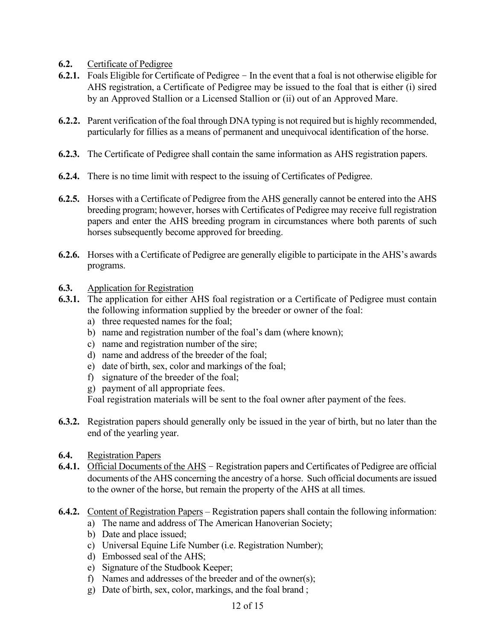- **6.2.** Certificate of Pedigree
- **6.2.1.** Foals Eligible for Certificate of Pedigree In the event that a foal is not otherwise eligible for AHS registration, a Certificate of Pedigree may be issued to the foal that is either (i) sired by an Approved Stallion or a Licensed Stallion or (ii) out of an Approved Mare.
- **6.2.2.** Parent verification of the foal through DNA typing is not required but is highly recommended, particularly for fillies as a means of permanent and unequivocal identification of the horse.
- **6.2.3.** The Certificate of Pedigree shall contain the same information as AHS registration papers.
- **6.2.4.** There is no time limit with respect to the issuing of Certificates of Pedigree.
- **6.2.5.** Horses with a Certificate of Pedigree from the AHS generally cannot be entered into the AHS breeding program; however, horses with Certificates of Pedigree may receive full registration papers and enter the AHS breeding program in circumstances where both parents of such horses subsequently become approved for breeding.
- **6.2.6.** Horses with a Certificate of Pedigree are generally eligible to participate in the AHS's awards programs.
- **6.3.** Application for Registration
- **6.3.1.** The application for either AHS foal registration or a Certificate of Pedigree must contain the following information supplied by the breeder or owner of the foal:
	- a) three requested names for the foal;
	- b) name and registration number of the foal's dam (where known);
	- c) name and registration number of the sire;
	- d) name and address of the breeder of the foal;
	- e) date of birth, sex, color and markings of the foal;
	- f) signature of the breeder of the foal;
	- g) payment of all appropriate fees.

Foal registration materials will be sent to the foal owner after payment of the fees.

- **6.3.2.** Registration papers should generally only be issued in the year of birth, but no later than the end of the yearling year.
- **6.4.** Registration Papers
- **6.4.1.** Official Documents of the AHS Registration papers and Certificates of Pedigree are official documents of the AHS concerning the ancestry of a horse. Such official documents are issued to the owner of the horse, but remain the property of the AHS at all times.
- **6.4.2.** Content of Registration Papers Registration papers shall contain the following information:
	- a) The name and address of The American Hanoverian Society;
	- b) Date and place issued;
	- c) Universal Equine Life Number (i.e. Registration Number);
	- d) Embossed seal of the AHS;
	- e) Signature of the Studbook Keeper;
	- f) Names and addresses of the breeder and of the owner(s);
	- g) Date of birth, sex, color, markings, and the foal brand ;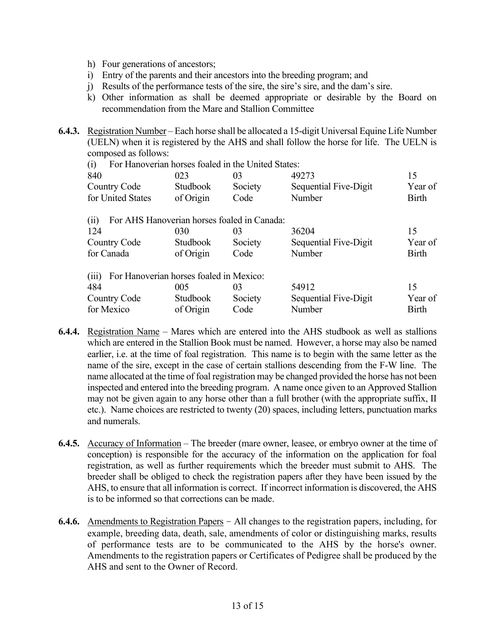- h) Four generations of ancestors;
- i) Entry of the parents and their ancestors into the breeding program; and
- j) Results of the performance tests of the sire, the sire's sire, and the dam's sire.
- k) Other information as shall be deemed appropriate or desirable by the Board on recommendation from the Mare and Stallion Committee
- **6.4.3.** Registration Number Each horse shall be allocated a 15-digit Universal Equine Life Number (UELN) when it is registered by the AHS and shall follow the horse for life. The UELN is composed as follows:

| For Hanoverian horses foaled in the United States:<br>(i) |           |         |                       |              |
|-----------------------------------------------------------|-----------|---------|-----------------------|--------------|
| 840                                                       | 023       | 03      | 49273                 | 15           |
| Country Code                                              | Studbook  | Society | Sequential Five-Digit | Year of      |
| for United States                                         | of Origin | Code    | Number                | <b>Birth</b> |
| For AHS Hanoverian horses foaled in Canada:<br>(11)       |           |         |                       |              |
| 124                                                       | 030       | 03      | 36204                 | 15           |
| <b>Country Code</b>                                       | Studbook  | Society | Sequential Five-Digit | Year of      |
| for Canada                                                | of Origin | Code    | Number                | <b>Birth</b> |
| For Hanoverian horses foaled in Mexico:<br>(iii)          |           |         |                       |              |
| 484                                                       | 005       | 03      | 54912                 | 15           |
| Country Code                                              | Studbook  | Society | Sequential Five-Digit | Year of      |
| for Mexico                                                | of Origin | Code    | Number                | <b>Birth</b> |

- **6.4.4.** Registration Name Mares which are entered into the AHS studbook as well as stallions which are entered in the Stallion Book must be named. However, a horse may also be named earlier, i.e. at the time of foal registration. This name is to begin with the same letter as the name of the sire, except in the case of certain stallions descending from the F-W line. The name allocated at the time of foal registration may be changed provided the horse has not been inspected and entered into the breeding program. A name once given to an Approved Stallion may not be given again to any horse other than a full brother (with the appropriate suffix, II etc.). Name choices are restricted to twenty (20) spaces, including letters, punctuation marks and numerals.
- **6.4.5.** Accuracy of Information The breeder (mare owner, leasee, or embryo owner at the time of conception) is responsible for the accuracy of the information on the application for foal registration, as well as further requirements which the breeder must submit to AHS. The breeder shall be obliged to check the registration papers after they have been issued by the AHS, to ensure that all information is correct. If incorrect information is discovered, the AHS is to be informed so that corrections can be made.
- **6.4.6.** Amendments to Registration Papers All changes to the registration papers, including, for example, breeding data, death, sale, amendments of color or distinguishing marks, results of performance tests are to be communicated to the AHS by the horse's owner. Amendments to the registration papers or Certificates of Pedigree shall be produced by the AHS and sent to the Owner of Record.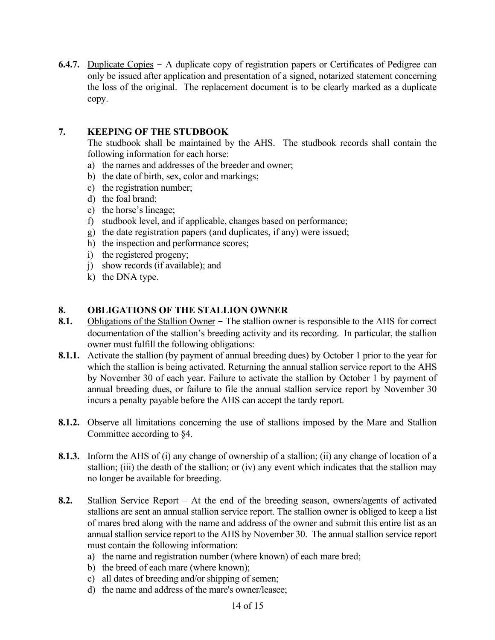**6.4.7.** Duplicate Copies – A duplicate copy of registration papers or Certificates of Pedigree can only be issued after application and presentation of a signed, notarized statement concerning the loss of the original. The replacement document is to be clearly marked as a duplicate copy.

# **7. KEEPING OF THE STUDBOOK**

The studbook shall be maintained by the AHS. The studbook records shall contain the following information for each horse:

- a) the names and addresses of the breeder and owner;
- b) the date of birth, sex, color and markings;
- c) the registration number;
- d) the foal brand;
- e) the horse's lineage;
- f) studbook level, and if applicable, changes based on performance;
- g) the date registration papers (and duplicates, if any) were issued;
- h) the inspection and performance scores;
- i) the registered progeny;
- j) show records (if available); and
- k) the DNA type.

#### **8. OBLIGATIONS OF THE STALLION OWNER**

- **8.1.** Obligations of the Stallion Owner The stallion owner is responsible to the AHS for correct documentation of the stallion's breeding activity and its recording. In particular, the stallion owner must fulfill the following obligations:
- **8.1.1.** Activate the stallion (by payment of annual breeding dues) by October 1 prior to the year for which the stallion is being activated. Returning the annual stallion service report to the AHS by November 30 of each year. Failure to activate the stallion by October 1 by payment of annual breeding dues, or failure to file the annual stallion service report by November 30 incurs a penalty payable before the AHS can accept the tardy report.
- **8.1.2.** Observe all limitations concerning the use of stallions imposed by the Mare and Stallion Committee according to §4.
- **8.1.3.** Inform the AHS of (i) any change of ownership of a stallion; (ii) any change of location of a stallion; (iii) the death of the stallion; or (iv) any event which indicates that the stallion may no longer be available for breeding.
- **8.2.** Stallion Service Report At the end of the breeding season, owners/agents of activated stallions are sent an annual stallion service report. The stallion owner is obliged to keep a list of mares bred along with the name and address of the owner and submit this entire list as an annual stallion service report to the AHS by November 30. The annual stallion service report must contain the following information:
	- a) the name and registration number (where known) of each mare bred;
	- b) the breed of each mare (where known);
	- c) all dates of breeding and/or shipping of semen;
	- d) the name and address of the mare's owner/leasee;